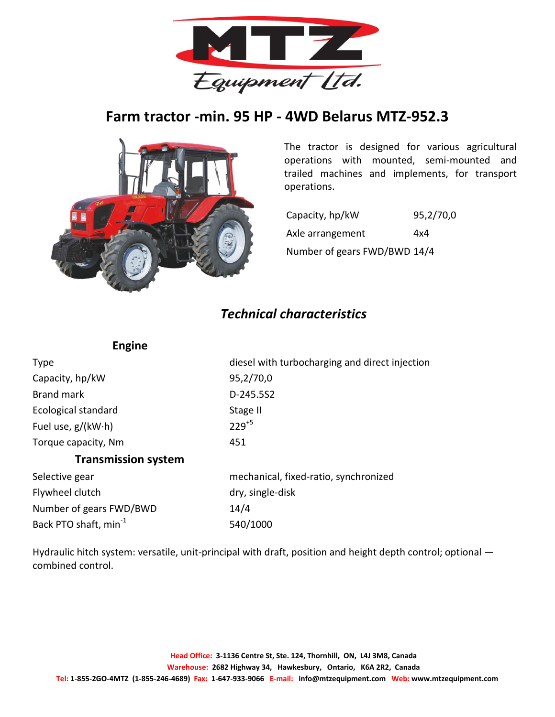

## **Farm tractor -min. 95 HP - 4WD Belarus MTZ-952.3**



The tractor is designed for various agricultural operations with mounted, semi-mounted and trailed machines and implements, for transport operations.

Capacity, hp/kW 95,2/70,0 Axle arrangement 4x4 Number of gears FWD/BWD 14/4

## *Technical characteristics*

| <b>-ngine</b> |
|---------------|
|---------------|

| Type                              | diesel with turbocharging and direct injection |
|-----------------------------------|------------------------------------------------|
| Capacity, hp/kW                   | 95,2/70,0                                      |
| <b>Brand mark</b>                 | D-245.5S2                                      |
| Ecological standard               | Stage II                                       |
| Fuel use, $g/(kW \cdot h)$        | $229^{+5}$                                     |
| Torque capacity, Nm               | 451                                            |
| <b>Transmission system</b>        |                                                |
| Selective gear                    | mechanical, fixed-ratio, synchronized          |
| Flywheel clutch                   | dry, single-disk                               |
| Number of gears FWD/BWD           | 14/4                                           |
| Back PTO shaft, min <sup>-1</sup> | 540/1000                                       |

Hydraulic hitch system: versatile, unit-principal with draft, position and height depth control; optional combined control.